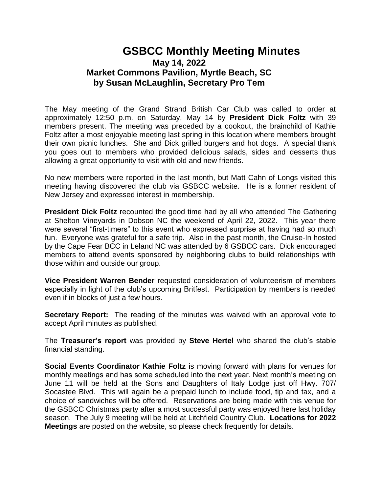## **GSBCC Monthly Meeting Minutes May 14, 2022 Market Commons Pavilion, Myrtle Beach, SC by Susan McLaughlin, Secretary Pro Tem**

The May meeting of the Grand Strand British Car Club was called to order at approximately 12:50 p.m. on Saturday, May 14 by **President Dick Foltz** with 39 members present. The meeting was preceded by a cookout, the brainchild of Kathie Foltz after a most enjoyable meeting last spring in this location where members brought their own picnic lunches. She and Dick grilled burgers and hot dogs. A special thank you goes out to members who provided delicious salads, sides and desserts thus allowing a great opportunity to visit with old and new friends.

No new members were reported in the last month, but Matt Cahn of Longs visited this meeting having discovered the club via GSBCC website. He is a former resident of New Jersey and expressed interest in membership.

**President Dick Foltz** recounted the good time had by all who attended The Gathering at Shelton Vineyards in Dobson NC the weekend of April 22, 2022. This year there were several "first-timers" to this event who expressed surprise at having had so much fun. Everyone was grateful for a safe trip. Also in the past month, the Cruise-In hosted by the Cape Fear BCC in Leland NC was attended by 6 GSBCC cars. Dick encouraged members to attend events sponsored by neighboring clubs to build relationships with those within and outside our group.

**Vice President Warren Bender** requested consideration of volunteerism of members especially in light of the club's upcoming Britfest. Participation by members is needed even if in blocks of just a few hours.

**Secretary Report:** The reading of the minutes was waived with an approval vote to accept April minutes as published.

The **Treasurer's report** was provided by **Steve Hertel** who shared the club's stable financial standing.

**Social Events Coordinator Kathie Foltz** is moving forward with plans for venues for monthly meetings and has some scheduled into the next year. Next month's meeting on June 11 will be held at the Sons and Daughters of Italy Lodge just off Hwy. 707/ Socastee Blvd. This will again be a prepaid lunch to include food, tip and tax, and a choice of sandwiches will be offered. Reservations are being made with this venue for the GSBCC Christmas party after a most successful party was enjoyed here last holiday season. The July 9 meeting will be held at Litchfield Country Club. **Locations for 2022 Meetings** are posted on the website, so please check frequently for details.